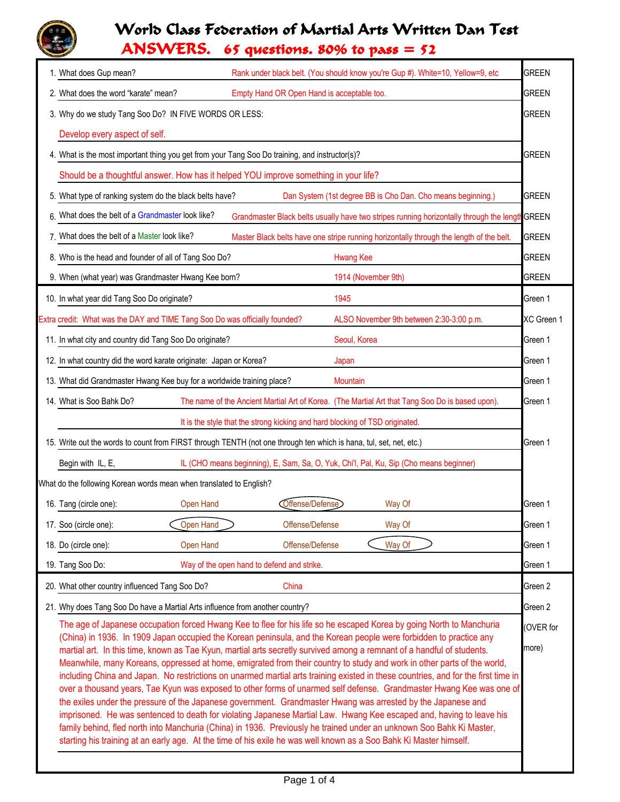## World Class Federation of Martial Arts Written Dan Test

ANSWERS. 65 questions. 80% to pass = 52

| Rank under black belt. (You should know you're Gup #). White=10, Yellow=9, etc<br>1. What does Gup mean?                                                                                                                                                                                                                                                                                                                                                                                                                                                                                                                                                                                                                                                                                                                                                                                                                                                                                                                                                                                                                                                                                                                                                                 | <b>GREEN</b> |  |  |  |  |
|--------------------------------------------------------------------------------------------------------------------------------------------------------------------------------------------------------------------------------------------------------------------------------------------------------------------------------------------------------------------------------------------------------------------------------------------------------------------------------------------------------------------------------------------------------------------------------------------------------------------------------------------------------------------------------------------------------------------------------------------------------------------------------------------------------------------------------------------------------------------------------------------------------------------------------------------------------------------------------------------------------------------------------------------------------------------------------------------------------------------------------------------------------------------------------------------------------------------------------------------------------------------------|--------------|--|--|--|--|
| 2. What does the word "karate" mean?<br>Empty Hand OR Open Hand is acceptable too.                                                                                                                                                                                                                                                                                                                                                                                                                                                                                                                                                                                                                                                                                                                                                                                                                                                                                                                                                                                                                                                                                                                                                                                       | <b>GREEN</b> |  |  |  |  |
| 3. Why do we study Tang Soo Do? IN FIVE WORDS OR LESS:<br><b>GREEN</b>                                                                                                                                                                                                                                                                                                                                                                                                                                                                                                                                                                                                                                                                                                                                                                                                                                                                                                                                                                                                                                                                                                                                                                                                   |              |  |  |  |  |
| Develop every aspect of self.                                                                                                                                                                                                                                                                                                                                                                                                                                                                                                                                                                                                                                                                                                                                                                                                                                                                                                                                                                                                                                                                                                                                                                                                                                            |              |  |  |  |  |
| 4. What is the most important thing you get from your Tang Soo Do training, and instructor(s)?                                                                                                                                                                                                                                                                                                                                                                                                                                                                                                                                                                                                                                                                                                                                                                                                                                                                                                                                                                                                                                                                                                                                                                           | <b>GREEN</b> |  |  |  |  |
| Should be a thoughtful answer. How has it helped YOU improve something in your life?                                                                                                                                                                                                                                                                                                                                                                                                                                                                                                                                                                                                                                                                                                                                                                                                                                                                                                                                                                                                                                                                                                                                                                                     |              |  |  |  |  |
| 5. What type of ranking system do the black belts have?<br>Dan System (1st degree BB is Cho Dan. Cho means beginning.)                                                                                                                                                                                                                                                                                                                                                                                                                                                                                                                                                                                                                                                                                                                                                                                                                                                                                                                                                                                                                                                                                                                                                   | <b>GREEN</b> |  |  |  |  |
| What does the belt of a Grandmaster look like?<br>Grandmaster Black belts usually have two stripes running horizontally through the length GREEN                                                                                                                                                                                                                                                                                                                                                                                                                                                                                                                                                                                                                                                                                                                                                                                                                                                                                                                                                                                                                                                                                                                         |              |  |  |  |  |
| 7. What does the belt of a Master look like?<br>Master Black belts have one stripe running horizontally through the length of the belt.                                                                                                                                                                                                                                                                                                                                                                                                                                                                                                                                                                                                                                                                                                                                                                                                                                                                                                                                                                                                                                                                                                                                  | <b>GREEN</b> |  |  |  |  |
| 8. Who is the head and founder of all of Tang Soo Do?<br><b>Hwang Kee</b>                                                                                                                                                                                                                                                                                                                                                                                                                                                                                                                                                                                                                                                                                                                                                                                                                                                                                                                                                                                                                                                                                                                                                                                                | <b>GREEN</b> |  |  |  |  |
| 9. When (what year) was Grandmaster Hwang Kee born?<br>1914 (November 9th)                                                                                                                                                                                                                                                                                                                                                                                                                                                                                                                                                                                                                                                                                                                                                                                                                                                                                                                                                                                                                                                                                                                                                                                               | <b>GREEN</b> |  |  |  |  |
| 10. In what year did Tang Soo Do originate?<br>1945                                                                                                                                                                                                                                                                                                                                                                                                                                                                                                                                                                                                                                                                                                                                                                                                                                                                                                                                                                                                                                                                                                                                                                                                                      | Green 1      |  |  |  |  |
| Extra credit: What was the DAY and TIME Tang Soo Do was officially founded?<br>ALSO November 9th between 2:30-3:00 p.m.                                                                                                                                                                                                                                                                                                                                                                                                                                                                                                                                                                                                                                                                                                                                                                                                                                                                                                                                                                                                                                                                                                                                                  | XC Green 1   |  |  |  |  |
| 11. In what city and country did Tang Soo Do originate?<br>Seoul, Korea                                                                                                                                                                                                                                                                                                                                                                                                                                                                                                                                                                                                                                                                                                                                                                                                                                                                                                                                                                                                                                                                                                                                                                                                  | Green 1      |  |  |  |  |
| 12. In what country did the word karate originate: Japan or Korea?<br>Japan                                                                                                                                                                                                                                                                                                                                                                                                                                                                                                                                                                                                                                                                                                                                                                                                                                                                                                                                                                                                                                                                                                                                                                                              | Green 1      |  |  |  |  |
| 13. What did Grandmaster Hwang Kee buy for a worldwide training place?<br>Mountain<br>Green 1                                                                                                                                                                                                                                                                                                                                                                                                                                                                                                                                                                                                                                                                                                                                                                                                                                                                                                                                                                                                                                                                                                                                                                            |              |  |  |  |  |
| 14. What is Soo Bahk Do?<br>The name of the Ancient Martial Art of Korea. (The Martial Art that Tang Soo Do is based upon).                                                                                                                                                                                                                                                                                                                                                                                                                                                                                                                                                                                                                                                                                                                                                                                                                                                                                                                                                                                                                                                                                                                                              | Green 1      |  |  |  |  |
| It is the style that the strong kicking and hard blocking of TSD originated.                                                                                                                                                                                                                                                                                                                                                                                                                                                                                                                                                                                                                                                                                                                                                                                                                                                                                                                                                                                                                                                                                                                                                                                             |              |  |  |  |  |
| 15. Write out the words to count from FIRST through TENTH (not one through ten which is hana, tul, set, net, etc.)                                                                                                                                                                                                                                                                                                                                                                                                                                                                                                                                                                                                                                                                                                                                                                                                                                                                                                                                                                                                                                                                                                                                                       | Green 1      |  |  |  |  |
| IL (CHO means beginning), E, Sam, Sa, O, Yuk, Chi'l, Pal, Ku, Sip (Cho means beginner)<br>Begin with IL, E,                                                                                                                                                                                                                                                                                                                                                                                                                                                                                                                                                                                                                                                                                                                                                                                                                                                                                                                                                                                                                                                                                                                                                              |              |  |  |  |  |
| What do the following Korean words mean when translated to English?                                                                                                                                                                                                                                                                                                                                                                                                                                                                                                                                                                                                                                                                                                                                                                                                                                                                                                                                                                                                                                                                                                                                                                                                      |              |  |  |  |  |
| Offense/Defense<br>16. Tang (circle one):<br>Open Hand<br>Way Of                                                                                                                                                                                                                                                                                                                                                                                                                                                                                                                                                                                                                                                                                                                                                                                                                                                                                                                                                                                                                                                                                                                                                                                                         | Green 1      |  |  |  |  |
| Open Hand<br>Offense/Defense<br>17. Soo (circle one):<br>Way Of                                                                                                                                                                                                                                                                                                                                                                                                                                                                                                                                                                                                                                                                                                                                                                                                                                                                                                                                                                                                                                                                                                                                                                                                          | Green 1      |  |  |  |  |
| Way Of<br>Offense/Defense<br>Open Hand<br>18. Do (circle one):                                                                                                                                                                                                                                                                                                                                                                                                                                                                                                                                                                                                                                                                                                                                                                                                                                                                                                                                                                                                                                                                                                                                                                                                           | Green 1      |  |  |  |  |
| Way of the open hand to defend and strike.<br>19. Tang Soo Do:                                                                                                                                                                                                                                                                                                                                                                                                                                                                                                                                                                                                                                                                                                                                                                                                                                                                                                                                                                                                                                                                                                                                                                                                           | Green 1      |  |  |  |  |
| 20. What other country influenced Tang Soo Do?<br>China                                                                                                                                                                                                                                                                                                                                                                                                                                                                                                                                                                                                                                                                                                                                                                                                                                                                                                                                                                                                                                                                                                                                                                                                                  | Green 2      |  |  |  |  |
| 21. Why does Tang Soo Do have a Martial Arts influence from another country?<br>Green 2                                                                                                                                                                                                                                                                                                                                                                                                                                                                                                                                                                                                                                                                                                                                                                                                                                                                                                                                                                                                                                                                                                                                                                                  |              |  |  |  |  |
| The age of Japanese occupation forced Hwang Kee to flee for his life so he escaped Korea by going North to Manchuria<br>(OVER for<br>(China) in 1936. In 1909 Japan occupied the Korean peninsula, and the Korean people were forbidden to practice any<br>more)<br>martial art. In this time, known as Tae Kyun, martial arts secretly survived among a remnant of a handful of students.<br>Meanwhile, many Koreans, oppressed at home, emigrated from their country to study and work in other parts of the world,<br>including China and Japan. No restrictions on unarmed martial arts training existed in these countries, and for the first time in<br>over a thousand years, Tae Kyun was exposed to other forms of unarmed self defense. Grandmaster Hwang Kee was one of<br>the exiles under the pressure of the Japanese government. Grandmaster Hwang was arrested by the Japanese and<br>imprisoned. He was sentenced to death for violating Japanese Martial Law. Hwang Kee escaped and, having to leave his<br>family behind, fled north into Manchuria (China) in 1936. Previously he trained under an unknown Soo Bahk Ki Master,<br>starting his training at an early age. At the time of his exile he was well known as a Soo Bahk Ki Master himself. |              |  |  |  |  |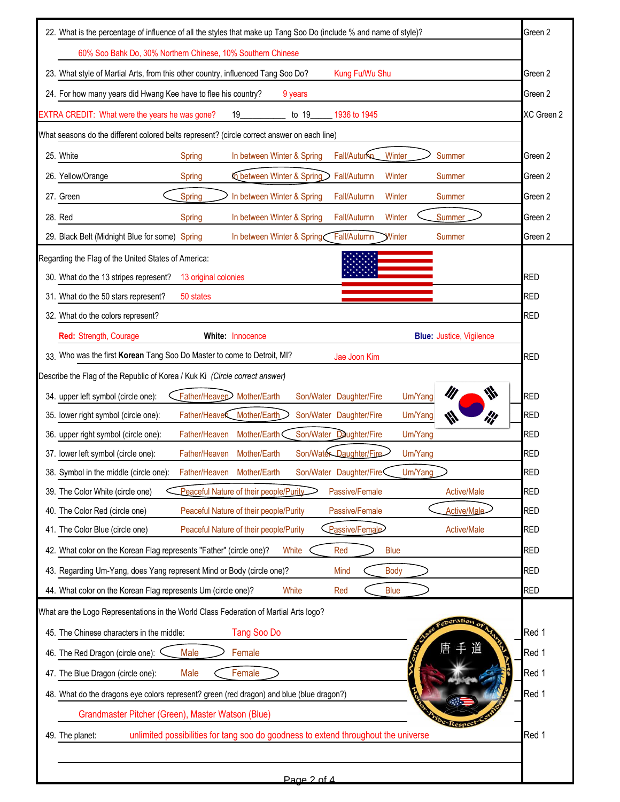| Green 2<br>22. What is the percentage of influence of all the styles that make up Tang Soo Do (include % and name of style)?                                                                                          |                          |  |  |  |  |
|-----------------------------------------------------------------------------------------------------------------------------------------------------------------------------------------------------------------------|--------------------------|--|--|--|--|
| 60% Soo Bahk Do, 30% Northern Chinese, 10% Southern Chinese                                                                                                                                                           |                          |  |  |  |  |
| 23. What style of Martial Arts, from this other country, influenced Tang Soo Do?<br>Kung Fu/Wu Shu                                                                                                                    |                          |  |  |  |  |
| 24. For how many years did Hwang Kee have to flee his country?<br>9 years                                                                                                                                             | Green 2                  |  |  |  |  |
| EXTRA CREDIT: What were the years he was gone?<br>19<br>to 19<br>1936 to 1945                                                                                                                                         | XC Green 2               |  |  |  |  |
| What seasons do the different colored belts represent? (circle correct answer on each line)                                                                                                                           |                          |  |  |  |  |
| 25. White<br>Fall/Autumn<br>Winter<br>In between Winter & Spring<br>Summer<br>Spring                                                                                                                                  | Green 2                  |  |  |  |  |
| In between Winter & Spring<br>26. Yellow/Orange<br>Fall/Autumn<br>Winter<br>Spring<br><b>Summer</b>                                                                                                                   | Green 2                  |  |  |  |  |
| Spring<br>27. Green<br>In between Winter & Spring<br>Fall/Autumn<br>Winter<br><b>Summer</b>                                                                                                                           | Green 2                  |  |  |  |  |
| Summer<br>28. Red<br>In between Winter & Spring<br>Fall/Autumn<br>Winter<br>Spring                                                                                                                                    | Green 2                  |  |  |  |  |
| Fall/Autumn<br>29. Black Belt (Midnight Blue for some) Spring<br>Summer<br>In between Winter & Spring<br>Winter                                                                                                       | Green 2                  |  |  |  |  |
| Regarding the Flag of the United States of America:                                                                                                                                                                   |                          |  |  |  |  |
| 30. What do the 13 stripes represent?<br>13 original colonies                                                                                                                                                         | <b>RED</b>               |  |  |  |  |
| 31. What do the 50 stars represent?<br>50 states                                                                                                                                                                      | <b>RED</b>               |  |  |  |  |
| 32. What do the colors represent?                                                                                                                                                                                     | <b>RED</b>               |  |  |  |  |
| Red: Strength, Courage<br>White: Innocence<br><b>Blue: Justice, Vigilence</b>                                                                                                                                         |                          |  |  |  |  |
| 33. Who was the first Korean Tang Soo Do Master to come to Detroit, MI?<br>Jae Joon Kim                                                                                                                               | <b>RED</b>               |  |  |  |  |
| Describe the Flag of the Republic of Korea / Kuk Ki (Circle correct answer)                                                                                                                                           |                          |  |  |  |  |
| $\psi$<br>Father/Heaven Mother/Earth<br>Um/Yang<br>34. upper left symbol (circle one):<br>Son/Water Daughter/Fire                                                                                                     | <b>RED</b>               |  |  |  |  |
| Father/Heaver Mother/Earth<br>Son/Water Daughter/Fire<br>35. lower right symbol (circle one):<br>Um/Yang<br>ill<br>W                                                                                                  | <b>RED</b>               |  |  |  |  |
| Father/Heaven<br>Mother/Earth<br>Son/Water Daughter/Fire<br>36. upper right symbol (circle one):<br>Um/Yang                                                                                                           | <b>RED</b>               |  |  |  |  |
| Son/Water Daughter/Fire<br>Father/Heaven<br>37. lower left symbol (circle one):<br>Mother/Earth<br>Um/Yang<br>Um/Yang<br>Son/Water Daughter/Fire<br>38. Symbol in the middle (circle one): Father/Heaven Mother/Earth | <b>RED</b><br><b>RED</b> |  |  |  |  |
| Peaceful Nature of their people/Purity<br>Passive/Female<br>39. The Color White (circle one)<br><b>Active/Male</b>                                                                                                    | <b>RED</b>               |  |  |  |  |
| Passive/Female<br>Active/Male<br>40. The Color Red (circle one)<br>Peaceful Nature of their people/Purity                                                                                                             | <b>RED</b>               |  |  |  |  |
| Passive/Female<br><b>Active/Male</b><br>41. The Color Blue (circle one)<br>Peaceful Nature of their people/Purity                                                                                                     | <b>RED</b>               |  |  |  |  |
| 42. What color on the Korean Flag represents "Father" (circle one)?<br><b>White</b><br><b>Blue</b><br>Red                                                                                                             | <b>RED</b>               |  |  |  |  |
| 43. Regarding Um-Yang, does Yang represent Mind or Body (circle one)?<br><b>Body</b><br>Mind                                                                                                                          | <b>RED</b>               |  |  |  |  |
| 44. What color on the Korean Flag represents Um (circle one)?<br>White<br><b>Blue</b><br>Red                                                                                                                          | <b>RED</b>               |  |  |  |  |
| What are the Logo Representations in the World Class Federation of Martial Arts logo?                                                                                                                                 |                          |  |  |  |  |
| cocration of<br>Tang Soo Do<br>45. The Chinese characters in the middle:                                                                                                                                              | Red 1                    |  |  |  |  |
| Red 1<br>46. The Red Dragon (circle one):<br>Male<br>Female                                                                                                                                                           |                          |  |  |  |  |
| Female<br>47. The Blue Dragon (circle one):<br>Male                                                                                                                                                                   | Red 1                    |  |  |  |  |
| Red 1<br>48. What do the dragons eye colors represent? green (red dragon) and blue (blue dragon?)                                                                                                                     |                          |  |  |  |  |
| Grandmaster Pitcher (Green), Master Watson (Blue)                                                                                                                                                                     |                          |  |  |  |  |
| Respe<br>unlimited possibilities for tang soo do goodness to extend throughout the universe<br>49. The planet:                                                                                                        | Red 1                    |  |  |  |  |
|                                                                                                                                                                                                                       |                          |  |  |  |  |
| Page 2 of 4                                                                                                                                                                                                           |                          |  |  |  |  |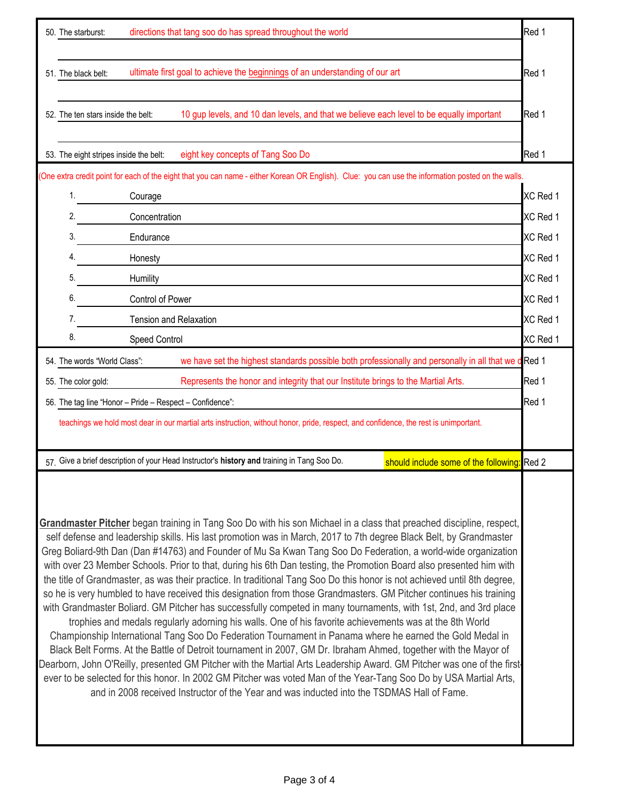| directions that tang soo do has spread throughout the world<br>50. The starburst:                                                    |                                                                                                                                                                                                                                                                                                                                                                                                                                                                                                                                                                                                                                                                                                                                                                                                                                                                                                                                                                                                                                                                                                                                                                                                                                                                                                                                                                                                                                                                                                                                                |          |  |  |  |  |
|--------------------------------------------------------------------------------------------------------------------------------------|------------------------------------------------------------------------------------------------------------------------------------------------------------------------------------------------------------------------------------------------------------------------------------------------------------------------------------------------------------------------------------------------------------------------------------------------------------------------------------------------------------------------------------------------------------------------------------------------------------------------------------------------------------------------------------------------------------------------------------------------------------------------------------------------------------------------------------------------------------------------------------------------------------------------------------------------------------------------------------------------------------------------------------------------------------------------------------------------------------------------------------------------------------------------------------------------------------------------------------------------------------------------------------------------------------------------------------------------------------------------------------------------------------------------------------------------------------------------------------------------------------------------------------------------|----------|--|--|--|--|
|                                                                                                                                      | ultimate first goal to achieve the beginnings of an understanding of our art<br>51. The black belt:                                                                                                                                                                                                                                                                                                                                                                                                                                                                                                                                                                                                                                                                                                                                                                                                                                                                                                                                                                                                                                                                                                                                                                                                                                                                                                                                                                                                                                            |          |  |  |  |  |
|                                                                                                                                      | 10 gup levels, and 10 dan levels, and that we believe each level to be equally important<br>52. The ten stars inside the belt:                                                                                                                                                                                                                                                                                                                                                                                                                                                                                                                                                                                                                                                                                                                                                                                                                                                                                                                                                                                                                                                                                                                                                                                                                                                                                                                                                                                                                 |          |  |  |  |  |
|                                                                                                                                      | eight key concepts of Tang Soo Do<br>53. The eight stripes inside the belt:                                                                                                                                                                                                                                                                                                                                                                                                                                                                                                                                                                                                                                                                                                                                                                                                                                                                                                                                                                                                                                                                                                                                                                                                                                                                                                                                                                                                                                                                    | Red 1    |  |  |  |  |
|                                                                                                                                      | (One extra credit point for each of the eight that you can name - either Korean OR English). Clue: you can use the information posted on the walls.                                                                                                                                                                                                                                                                                                                                                                                                                                                                                                                                                                                                                                                                                                                                                                                                                                                                                                                                                                                                                                                                                                                                                                                                                                                                                                                                                                                            |          |  |  |  |  |
|                                                                                                                                      | 1.<br>Courage                                                                                                                                                                                                                                                                                                                                                                                                                                                                                                                                                                                                                                                                                                                                                                                                                                                                                                                                                                                                                                                                                                                                                                                                                                                                                                                                                                                                                                                                                                                                  | XC Red 1 |  |  |  |  |
|                                                                                                                                      | 2.<br>Concentration                                                                                                                                                                                                                                                                                                                                                                                                                                                                                                                                                                                                                                                                                                                                                                                                                                                                                                                                                                                                                                                                                                                                                                                                                                                                                                                                                                                                                                                                                                                            | XC Red 1 |  |  |  |  |
|                                                                                                                                      | 3.<br>Endurance                                                                                                                                                                                                                                                                                                                                                                                                                                                                                                                                                                                                                                                                                                                                                                                                                                                                                                                                                                                                                                                                                                                                                                                                                                                                                                                                                                                                                                                                                                                                | XC Red 1 |  |  |  |  |
|                                                                                                                                      | 4.<br>Honesty                                                                                                                                                                                                                                                                                                                                                                                                                                                                                                                                                                                                                                                                                                                                                                                                                                                                                                                                                                                                                                                                                                                                                                                                                                                                                                                                                                                                                                                                                                                                  | XC Red 1 |  |  |  |  |
|                                                                                                                                      | 5.<br>Humility                                                                                                                                                                                                                                                                                                                                                                                                                                                                                                                                                                                                                                                                                                                                                                                                                                                                                                                                                                                                                                                                                                                                                                                                                                                                                                                                                                                                                                                                                                                                 | XC Red 1 |  |  |  |  |
|                                                                                                                                      | 6.<br>Control of Power                                                                                                                                                                                                                                                                                                                                                                                                                                                                                                                                                                                                                                                                                                                                                                                                                                                                                                                                                                                                                                                                                                                                                                                                                                                                                                                                                                                                                                                                                                                         |          |  |  |  |  |
|                                                                                                                                      | 7.<br>Tension and Relaxation                                                                                                                                                                                                                                                                                                                                                                                                                                                                                                                                                                                                                                                                                                                                                                                                                                                                                                                                                                                                                                                                                                                                                                                                                                                                                                                                                                                                                                                                                                                   |          |  |  |  |  |
|                                                                                                                                      | 8.<br><b>Speed Control</b>                                                                                                                                                                                                                                                                                                                                                                                                                                                                                                                                                                                                                                                                                                                                                                                                                                                                                                                                                                                                                                                                                                                                                                                                                                                                                                                                                                                                                                                                                                                     | XC Red 1 |  |  |  |  |
|                                                                                                                                      | we have set the highest standards possible both professionally and personally in all that we dRed 1<br>54. The words "World Class":                                                                                                                                                                                                                                                                                                                                                                                                                                                                                                                                                                                                                                                                                                                                                                                                                                                                                                                                                                                                                                                                                                                                                                                                                                                                                                                                                                                                            |          |  |  |  |  |
|                                                                                                                                      | 55. The color gold:<br>Represents the honor and integrity that our Institute brings to the Martial Arts.                                                                                                                                                                                                                                                                                                                                                                                                                                                                                                                                                                                                                                                                                                                                                                                                                                                                                                                                                                                                                                                                                                                                                                                                                                                                                                                                                                                                                                       | Red 1    |  |  |  |  |
|                                                                                                                                      | 56. The tag line "Honor - Pride - Respect - Confidence":                                                                                                                                                                                                                                                                                                                                                                                                                                                                                                                                                                                                                                                                                                                                                                                                                                                                                                                                                                                                                                                                                                                                                                                                                                                                                                                                                                                                                                                                                       | Red 1    |  |  |  |  |
| teachings we hold most dear in our martial arts instruction, without honor, pride, respect, and confidence, the rest is unimportant. |                                                                                                                                                                                                                                                                                                                                                                                                                                                                                                                                                                                                                                                                                                                                                                                                                                                                                                                                                                                                                                                                                                                                                                                                                                                                                                                                                                                                                                                                                                                                                |          |  |  |  |  |
|                                                                                                                                      | 57. Give a brief description of your Head Instructor's history and training in Tang Soo Do.<br>should include some of the following: Red 2                                                                                                                                                                                                                                                                                                                                                                                                                                                                                                                                                                                                                                                                                                                                                                                                                                                                                                                                                                                                                                                                                                                                                                                                                                                                                                                                                                                                     |          |  |  |  |  |
|                                                                                                                                      | Grandmaster Pitcher began training in Tang Soo Do with his son Michael in a class that preached discipline, respect,<br>self defense and leadership skills. His last promotion was in March, 2017 to 7th degree Black Belt, by Grandmaster<br>Greg Boliard-9th Dan (Dan #14763) and Founder of Mu Sa Kwan Tang Soo Do Federation, a world-wide organization<br>with over 23 Member Schools. Prior to that, during his 6th Dan testing, the Promotion Board also presented him with<br>the title of Grandmaster, as was their practice. In traditional Tang Soo Do this honor is not achieved until 8th degree,<br>so he is very humbled to have received this designation from those Grandmasters. GM Pitcher continues his training<br>with Grandmaster Boliard. GM Pitcher has successfully competed in many tournaments, with 1st, 2nd, and 3rd place<br>trophies and medals regularly adorning his walls. One of his favorite achievements was at the 8th World<br>Championship International Tang Soo Do Federation Tournament in Panama where he earned the Gold Medal in<br>Black Belt Forms. At the Battle of Detroit tournament in 2007, GM Dr. Ibraham Ahmed, together with the Mayor of<br>Dearborn, John O'Reilly, presented GM Pitcher with the Martial Arts Leadership Award. GM Pitcher was one of the first<br>ever to be selected for this honor. In 2002 GM Pitcher was voted Man of the Year-Tang Soo Do by USA Martial Arts,<br>and in 2008 received Instructor of the Year and was inducted into the TSDMAS Hall of Fame. |          |  |  |  |  |